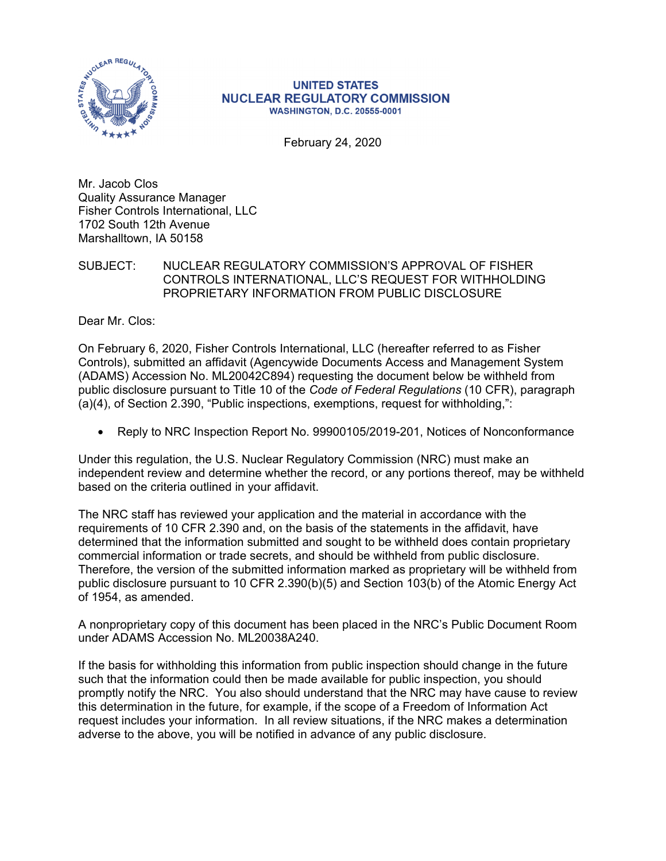

## **UNITED STATES NUCLEAR REGULATORY COMMISSION WASHINGTON, D.C. 20555-0001**

February 24, 2020

Mr. Jacob Clos Quality Assurance Manager Fisher Controls International, LLC 1702 South 12th Avenue Marshalltown, IA 50158

SUBJECT: NUCLEAR REGULATORY COMMISSION'S APPROVAL OF FISHER CONTROLS INTERNATIONAL, LLC'S REQUEST FOR WITHHOLDING PROPRIETARY INFORMATION FROM PUBLIC DISCLOSURE

Dear Mr. Clos:

On February 6, 2020, Fisher Controls International, LLC (hereafter referred to as Fisher Controls), submitted an affidavit (Agencywide Documents Access and Management System (ADAMS) Accession No. ML20042C894) requesting the document below be withheld from public disclosure pursuant to Title 10 of the *Code of Federal Regulations* (10 CFR), paragraph (a)(4), of Section 2.390, "Public inspections, exemptions, request for withholding,":

• Reply to NRC Inspection Report No. 99900105/2019-201, Notices of Nonconformance

Under this regulation, the U.S. Nuclear Regulatory Commission (NRC) must make an independent review and determine whether the record, or any portions thereof, may be withheld based on the criteria outlined in your affidavit.

The NRC staff has reviewed your application and the material in accordance with the requirements of 10 CFR 2.390 and, on the basis of the statements in the affidavit, have determined that the information submitted and sought to be withheld does contain proprietary commercial information or trade secrets, and should be withheld from public disclosure. Therefore, the version of the submitted information marked as proprietary will be withheld from public disclosure pursuant to 10 CFR 2.390(b)(5) and Section 103(b) of the Atomic Energy Act of 1954, as amended.

A nonproprietary copy of this document has been placed in the NRC's Public Document Room under ADAMS Accession No. ML20038A240.

If the basis for withholding this information from public inspection should change in the future such that the information could then be made available for public inspection, you should promptly notify the NRC. You also should understand that the NRC may have cause to review this determination in the future, for example, if the scope of a Freedom of Information Act request includes your information. In all review situations, if the NRC makes a determination adverse to the above, you will be notified in advance of any public disclosure.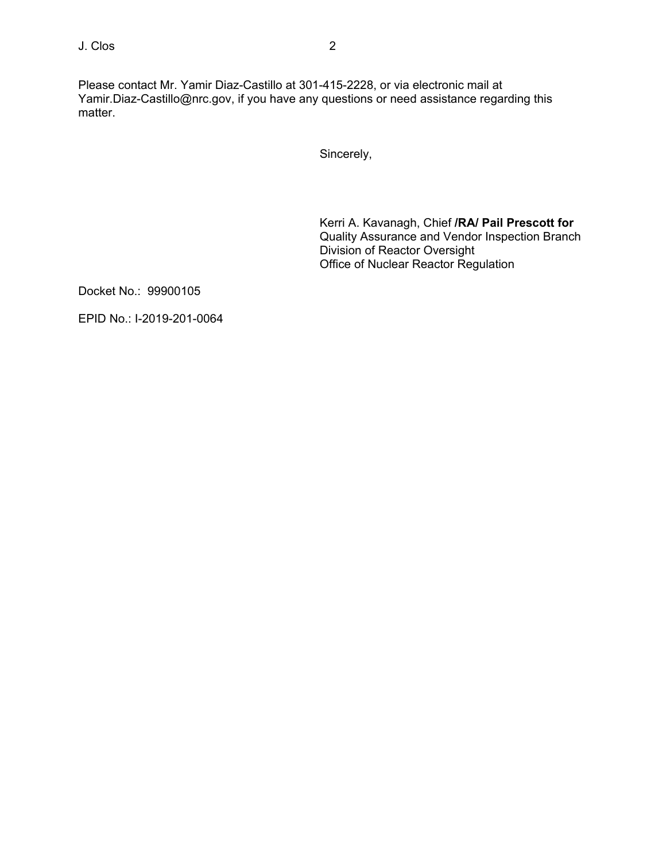Please contact Mr. Yamir Diaz-Castillo at 301-415-2228, or via electronic mail at Yamir.Diaz-Castillo@nrc.gov, if you have any questions or need assistance regarding this matter.

Sincerely,

Kerri A. Kavanagh, Chief **/RA/ Pail Prescott for**  Quality Assurance and Vendor Inspection Branch Division of Reactor Oversight Office of Nuclear Reactor Regulation

Docket No.: 99900105

EPID No.: I-2019-201-0064